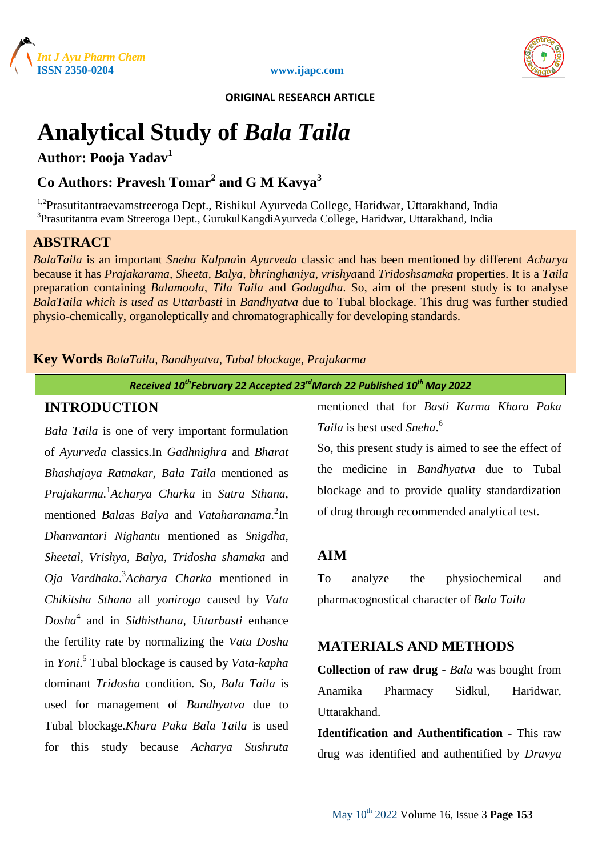



 **ORIGINAL RESEARCH ARTICLE**

# **Analytical Study of** *Bala Taila*

**Author: Pooja Yadav<sup>1</sup>**

# **Co Authors: Pravesh Tomar<sup>2</sup> and G M Kavya<sup>3</sup>**

<sup>1,2</sup>Prasutitantraevamstreeroga Dept., Rishikul Ayurveda College, Haridwar, Uttarakhand, India <sup>3</sup> Prasutitantra evam Streeroga Dept., GurukulKangdiAyurveda College, Haridwar, Uttarakhand, India

# **ABSTRACT**

*BalaTaila* is an important *Sneha Kalpna*in *Ayurveda* classic and has been mentioned by different *Acharya*  because it has *Prajakarama, Sheeta, Balya, bhringhaniya, vrishya*and *Tridoshsamaka* properties. It is a *Taila* preparation containing *Balamoola, Tila Taila* and *Godugdha*. So, aim of the present study is to analyse *BalaTaila which is used as Uttarbasti* in *Bandhyatva* due to Tubal blockage. This drug was further studied physio-chemically, organoleptically and chromatographically for developing standards.

## **Key Words** *BalaTaila, Bandhyatva*, *Tubal blockage*, *Prajakarma*

*Received 10 thFebruary 22 Accepted 23rdMarch 22 Published 10th May 2022*

## **INTRODUCTION**

*Bala Taila* is one of very important formulation of *Ayurveda* classics.In *Gadhnighra* and *Bharat Bhashajaya Ratnakar, Bala Taila* mentioned as *Prajakarma.*<sup>1</sup> *Acharya Charka* in *Sutra Sthana*, mentioned *Bala*as *Balya* and *Vataharanama*. 2 In *Dhanvantari Nighantu* mentioned as *Snigdha, Sheetal, Vrishya, Balya, Tridosha shamaka* and *Oja Vardhaka*. 3 *Acharya Charka* mentioned in *Chikitsha Sthana* all *yoniroga* caused by *Vata Dosha*<sup>4</sup> and in *Sidhisthana, Uttarbasti* enhance the fertility rate by normalizing the *Vata Dosha* in *Yoni*. 5 Tubal blockage is caused by *Vata-kapha*  dominant *Tridosha* condition. So, *Bala Taila* is used for management of *Bandhyatva* due to Tubal blockage.*Khara Paka Bala Taila* is used for this study because *Acharya Sushruta*

mentioned that for *Basti Karma Khara Paka Taila* is best used *Sneha*. 6

So, this present study is aimed to see the effect of the medicine in *Bandhyatva* due to Tubal blockage and to provide quality standardization of drug through recommended analytical test.

# **AIM**

To analyze the physiochemical and pharmacognostical character of *Bala Taila*

# **MATERIALS AND METHODS**

**Collection of raw drug -** *Bala* was bought from Anamika Pharmacy Sidkul, Haridwar, Uttarakhand.

**Identification and Authentification -** This raw drug was identified and authentified by *Dravya*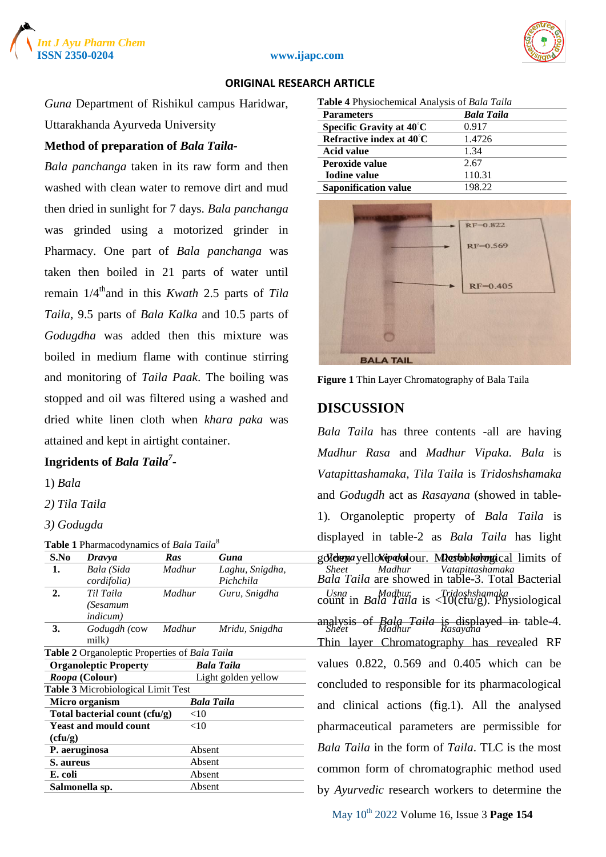



#### **ISSN 2350-0204 www.ijapc.com**

#### **ORIGINAL RESEARCH ARTICLE**

*Guna* Department of Rishikul campus Haridwar, Uttarakhanda Ayurveda University

#### **Method of preparation of** *Bala Taila-*

*Bala panchanga* taken in its raw form and then washed with clean water to remove dirt and mud then dried in sunlight for 7 days. *Bala panchanga*  was grinded using a motorized grinder in Pharmacy. One part of *Bala panchanga* was taken then boiled in 21 parts of water until remain  $1/4^{\text{th}}$  and in this *Kwath* 2.5 parts of *Tila Taila*, 9.5 parts of *Bala Kalka* and 10.5 parts of *Godugdha* was added then this mixture was boiled in medium flame with continue stirring and monitoring of *Taila Paak*. The boiling was stopped and oil was filtered using a washed and dried white linen cloth when *khara paka* was attained and kept in airtight container.

## **Ingridents of** *Bala Taila<sup>7</sup>* **-**

1) *Bala*

*2) Tila Taila*

*3) Godugda*

| <b>Table 1</b> Pharmacodynamics of <i>Bala Taila</i> <sup>8</sup> |  |  |
|-------------------------------------------------------------------|--|--|
|                                                                   |  |  |

| S.No                                  | <b>Dravya</b>                                 | Ras    | Guna                                           | goletema yello kipatolour. Markobkolongical limits of                                  |  |
|---------------------------------------|-----------------------------------------------|--------|------------------------------------------------|----------------------------------------------------------------------------------------|--|
| 1.                                    | Bala (Sida                                    | Madhur | Laghu, Snigdha,                                | Vatapittashamaka<br>Madhur<br><b>Sheet</b>                                             |  |
|                                       | cordifolia)                                   |        | Pichchila                                      | Bala Taila are showed in table-3. Total Bacterial                                      |  |
| 2.                                    | Til Taila                                     | Madhur | Guru, Snigdha                                  | Usna Madhur Tridoshshamaka<br>count in Bala Taila is <10(ctu/g). Physiological         |  |
|                                       | (Sesamum                                      |        |                                                |                                                                                        |  |
|                                       | <i>indicum</i> )                              |        |                                                |                                                                                        |  |
| 3.                                    | Godugdh (cow                                  | Madhur | Mridu, Snigdha                                 | analysis of <i>Bala Taila</i> is displayed in table-4.<br>Sheet <i>Madhur Rasayana</i> |  |
|                                       | milk)                                         |        |                                                | Thin layer Chromatography has revealed RF                                              |  |
|                                       | Table 2 Organoleptic Properties of Bala Taila |        |                                                |                                                                                        |  |
|                                       | <b>Organoleptic Property</b>                  |        | <b>Bala Taila</b>                              | values $0.822$ , $0.569$ and $0.405$ which can be                                      |  |
| Light golden yellow<br>Roopa (Colour) |                                               |        |                                                |                                                                                        |  |
|                                       | Table 3 Microbiological Limit Test            |        |                                                | concluded to responsible for its pharmacological                                       |  |
| <b>Bala Taila</b><br>Micro organism   |                                               |        | and clinical actions (fig.1). All the analysed |                                                                                        |  |
|                                       | Total bacterial count (cfu/g)                 | $<$ 10 |                                                |                                                                                        |  |
|                                       | <b>Yeast and mould count</b>                  | $<$ 10 |                                                | pharmaceutical parameters are permissible for                                          |  |
| (cfu/g)                               |                                               |        |                                                |                                                                                        |  |
|                                       | P. aeruginosa                                 | Absent |                                                | <i>Bala Taila</i> in the form of <i>Taila</i> . TLC is the most                        |  |
| Absent<br>S. aureus                   |                                               |        |                                                |                                                                                        |  |
| E. coli                               |                                               | Absent |                                                | common form of chromatographic method used                                             |  |
|                                       | Salmonella sp.                                | Absent |                                                | by <i>Ayurvedic</i> research workers to determine the                                  |  |
|                                       |                                               |        |                                                |                                                                                        |  |

| Table 4 Physiochemical Analysis of Bala Taila |  |  |  |  |
|-----------------------------------------------|--|--|--|--|
| <b>Bala Taila</b>                             |  |  |  |  |
| 0.917                                         |  |  |  |  |
| 1.4726                                        |  |  |  |  |
| 1.34                                          |  |  |  |  |
| 2.67                                          |  |  |  |  |
| 110.31                                        |  |  |  |  |
| 198.22                                        |  |  |  |  |
|                                               |  |  |  |  |



**Figure 1** Thin Layer Chromatography of Bala Taila

## **DISCUSSION**

*Sheet Madhur Vatapittashamaka Madhur Guru, Snigdha Usna Madhur Tridoshshamaka* count in *Bala Taila* is <10(cfu/g). Physiological *Madhur Mridu, Snigdha Sheet Madhur Rasayana* analysis of *Bala Taila* is displayed in table-4. *Bala Taila* has three contents -all are having *Madhur Rasa* and *Madhur Vipaka. Bala* is *Vatapittashamaka, Tila Taila* is *Tridoshshamaka*  and *Godugdh* act as *Rasayana* (showed in table-1)*.* Organoleptic property of *Bala Taila* is displayed in table-2 as *Bala Taila* has light *Bala Taila* are showed in table-3. Total Bacterial Thin layer Chromatography has revealed RF values 0.822, 0.569 and 0.405 which can be concluded to responsible for its pharmacological and clinical actions (fig.1). All the analysed pharmaceutical parameters are permissible for *Bala Taila* in the form of *Taila*. TLC is the most common form of chromatographic method used by *Ayurvedic* research workers to determine the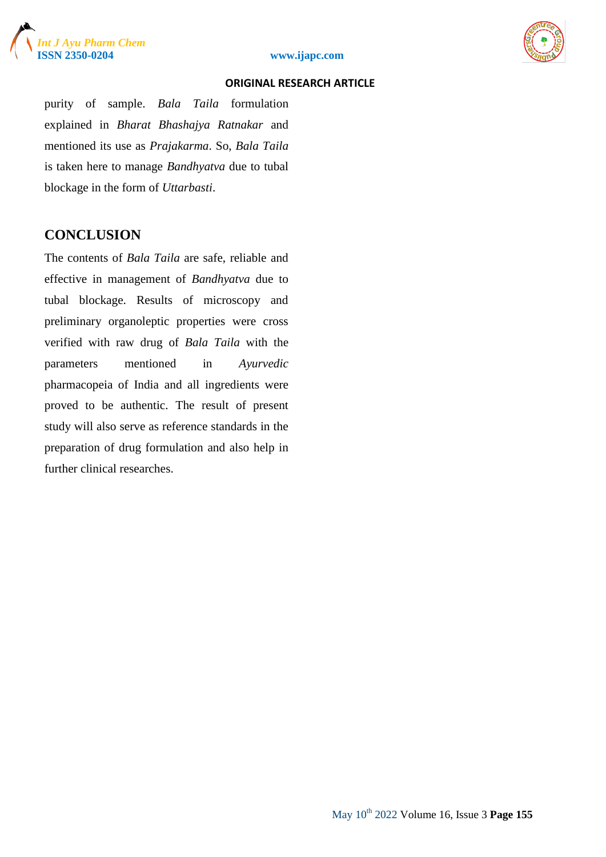



#### **ISSN 2350-0204 www.ijapc.com**

#### **ORIGINAL RESEARCH ARTICLE**

purity of sample. *Bala Taila* formulation explained in *Bharat Bhashajya Ratnakar* and mentioned its use as *Prajakarma*. So, *Bala Taila* is taken here to manage *Bandhyatva* due to tubal blockage in the form of *Uttarbasti*.

## **CONCLUSION**

The contents of *Bala Taila* are safe, reliable and effective in management of *Bandhyatva* due to tubal blockage. Results of microscopy and preliminary organoleptic properties were cross verified with raw drug of *Bala Taila* with the parameters mentioned in *Ayurvedic* pharmacopeia of India and all ingredients were proved to be authentic. The result of present study will also serve as reference standards in the preparation of drug formulation and also help in further clinical researches.